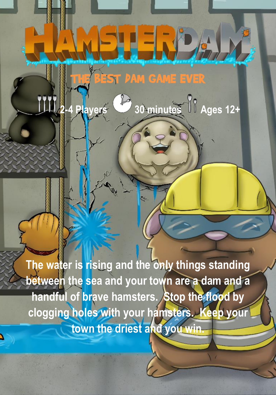**The water is rising and the only things standing between the sea and your town are a dam and a handful of brave hamsters. Stop the flood by clogging holes with your hamsters. Keep your town the driest and you win.**

BEST DAM GAME EVER

**STERPA** 

**111, 2-4 Players 30 minutes 11 Ages 12+**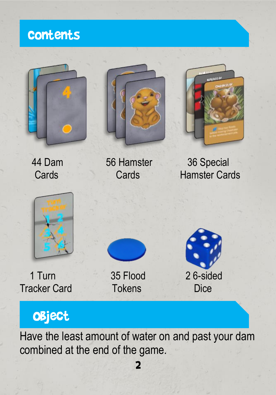

# **OBject**

Have the least amount of water on and past your dam combined at the end of the game.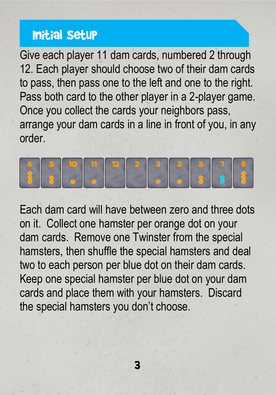#### Initial Setup

Give each player 11 dam cards, numbered 2 through 12. Each player should choose two of their dam cards to pass, then pass one to the left and one to the right. Pass both card to the other player in a 2-player game. Once you collect the cards your neighbors pass, arrange your dam cards in a line in front of you, in any order.



Each dam card will have between zero and three dots on it. Collect one hamster per orange dot on your dam cards. Remove one Twinster from the special hamsters, then shuffle the special hamsters and deal two to each person per blue dot on their dam cards. Keep one special hamster per blue dot on your dam cards and place them with your hamsters. Discard the special hamsters you don't choose.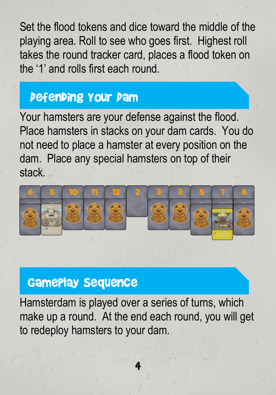Set the flood tokens and dice toward the middle of the playing area. Roll to see who goes first. Highest roll takes the round tracker card, places a flood token on the '1' and rolls first each round.

# Defending Your Dam

Your hamsters are your defense against the flood. Place hamsters in stacks on your dam cards. You do not need to place a hamster at every position on the dam. Place any special hamsters on top of their stack.



# Gameplay Sequence

Hamsterdam is played over a series of turns, which make up a round. At the end each round, you will get to redeploy hamsters to your dam.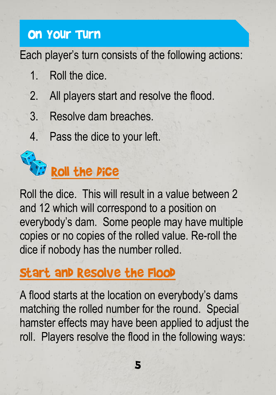### On Your Turn

Each player's turn consists of the following actions:

- 1. Roll the dice.
- 2. All players start and resolve the flood.
- 3. Resolve dam breaches.
- 4. Pass the dice to your left.



Roll the dice. This will result in a value between 2 and 12 which will correspond to a position on everybody's dam. Some people may have multiple copies or no copies of the rolled value. Re-roll the dice if nobody has the number rolled.

# Start and Resolve the Flood

A flood starts at the location on everybody's dams matching the rolled number for the round. Special hamster effects may have been applied to adjust the roll. Players resolve the flood in the following ways: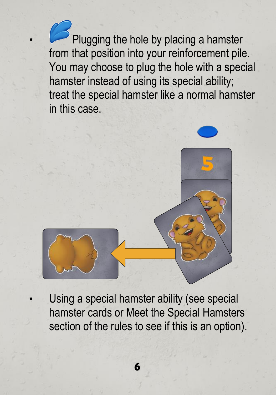$\delta$  Plugging the hole by placing a hamster from that position into your reinforcement pile. You may choose to plug the hole with a special hamster instead of using its special ability; treat the special hamster like a normal hamster in this case.



Using a special hamster ability (see special hamster cards or Meet the Special Hamsters section of the rules to see if this is an option).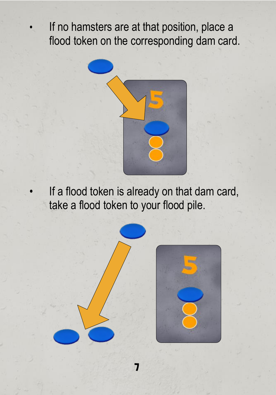• If no hamsters are at that position, place a flood token on the corresponding dam card.



If a flood token is already on that dam card, take a flood token to your flood pile.

7

7



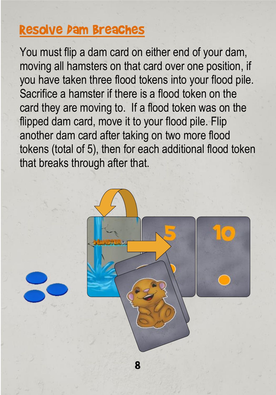# Resolve Dam Breaches

You must flip a dam card on either end of your dam, moving all hamsters on that card over one position, if you have taken three flood tokens into your flood pile. Sacrifice a hamster if there is a flood token on the card they are moving to. If a flood token was on the flipped dam card, move it to your flood pile. Flip another dam card after taking on two more flood tokens (total of 5), then for each additional flood token that breaks through after that.

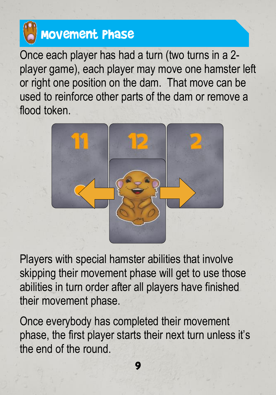# Movement Phase

Once each player has had a turn (two turns in a 2 player game), each player may move one hamster left or right one position on the dam. That move can be used to reinforce other parts of the dam or remove a flood token.



Players with special hamster abilities that involve skipping their movement phase will get to use those abilities in turn order after all players have finished their movement phase.

Once everybody has completed their movement phase, the first player starts their next turn unless it's the end of the round.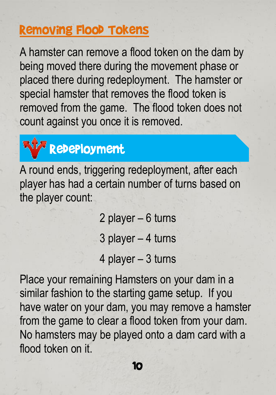#### Removing Flood Tokens

A hamster can remove a flood token on the dam by being moved there during the movement phase or placed there during redeployment. The hamster or special hamster that removes the flood token is removed from the game. The flood token does not count against you once it is removed.



A round ends, triggering redeployment, after each player has had a certain number of turns based on the player count:

> 2 player – 6 turns 3 player – 4 turns 4 player – 3 turns

Place your remaining Hamsters on your dam in a similar fashion to the starting game setup. If you have water on your dam, you may remove a hamster from the game to clear a flood token from your dam. No hamsters may be played onto a dam card with a flood token on it.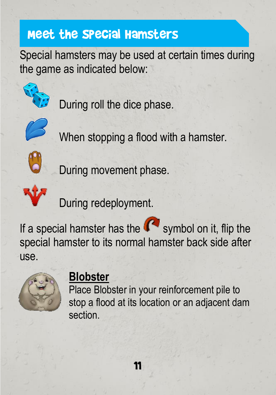# Meet the Special Hamsters

Special hamsters may be used at certain times during the game as indicated below:



During roll the dice phase.



When stopping a flood with a hamster.



**D**<br>During movement phase.



During redeployment.

If a special hamster has the  $\mathbb{C}^{\bullet}$  symbol on it, flip the special hamster to its normal hamster back side after use.



#### **Blobster**

Place Blobster in your reinforcement pile to stop a flood at its location or an adjacent dam section.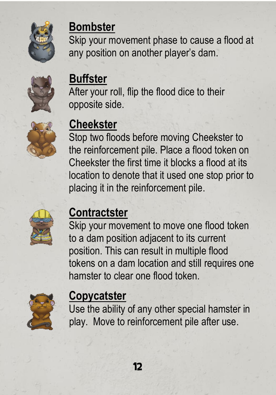

#### **Bombster**

Skip your movement phase to cause a flood at any position on another player's dam.



# **Buffster**

After your roll, flip the flood dice to their opposite side.



# **Cheekster**

Stop two floods before moving Cheekster to the reinforcement pile. Place a flood token on Cheekster the first time it blocks a flood at its location to denote that it used one stop prior to placing it in the reinforcement pile.



# **Contractster**

Skip your movement to move one flood token to a dam position adjacent to its current position. This can result in multiple flood tokens on a dam location and still requires one hamster to clear one flood token.



#### **Copycatster**

Use the ability of any other special hamster in play. Move to reinforcement pile after use.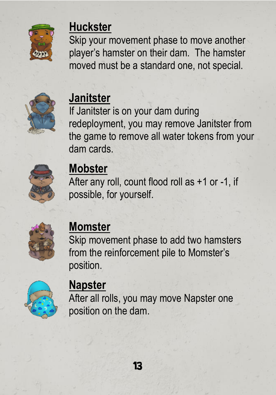

#### **Huckster**

Skip your movement phase to move another player's hamster on their dam. The hamster moved must be a standard one, not special.



# **Janitster**

If Janitster is on your dam during redeployment, you may remove Janitster from the game to remove all water tokens from your dam cards.



# **Mobster**

After any roll, count flood roll as +1 or -1, if possible, for yourself.



# **Momster**

Skip movement phase to add two hamsters from the reinforcement pile to Momster's position.



#### **Napster**

After all rolls, you may move Napster one position on the dam.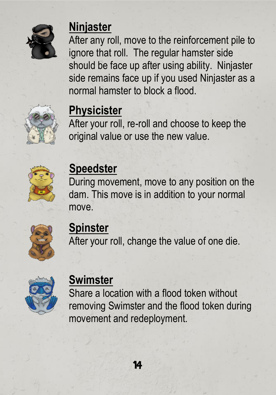

#### **Ninjaster**

After any roll, move to the reinforcement pile to ignore that roll. The regular hamster side should be face up after using ability. Ninjaster side remains face up if you used Ninjaster as a normal hamster to block a flood.



#### **Physicister**

After your roll, re-roll and choose to keep the original value or use the new value.



### **Speedster**

During movement, move to any position on the dam. This move is in addition to your normal move.



#### **Spinster**

After your roll, change the value of one die.



#### **Swimster**

Share a location with a flood token without removing Swimster and the flood token during movement and redeployment.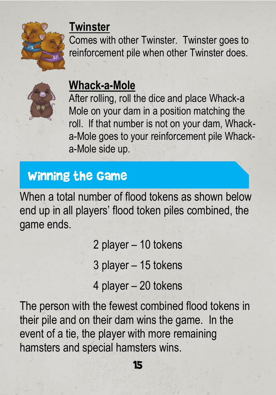

#### **Twinster**

Comes with other Twinster. Twinster goes to reinforcement pile when other Twinster does.



#### **Whack-a-Mole**

After rolling, roll the dice and place Whack-a Mole on your dam in a position matching the roll. If that number is not on your dam, Whacka-Mole goes to your reinforcement pile Whacka-Mole side up.

#### Winning the Game

When a total number of flood tokens as shown below end up in all players' flood token piles combined, the game ends.

2 player – 10 tokens

3 player – 15 tokens

4 player – 20 tokens

The person with the fewest combined flood tokens in their pile and on their dam wins the game. In the event of a tie, the player with more remaining hamsters and special hamsters wins.